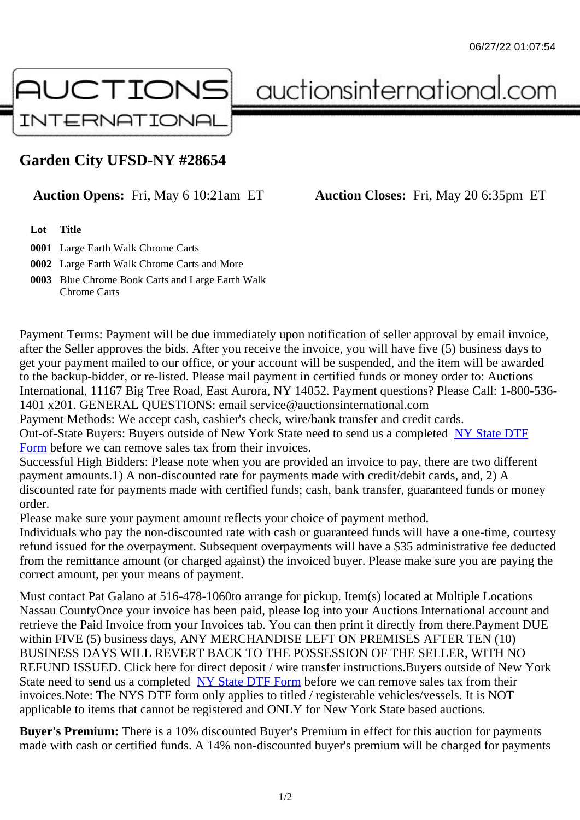## Garden City UFSD-NY #28654

## Auction Opens: Fri, May 6 10:21am ET Auction Closes: Fri, May 20 6:35pm ET

Lot Title

0001 Large Earth Walk Chrome Carts

0002 Large Earth Walk Chrome Carts and More

0003 Blue Chrome Book Carts and Large Earth Walk Chrome Carts

Payment Terms: Payment will be due immediately upon notification of seller approval by email invoice, after the Seller approves the bids. After you receive the invoice, you will have five (5) business days to get your payment mailed to our office, or your account will be suspended, and the item will be awarded to the backup-bidder, or re-listed. Please mail payment in certified funds or money order to: Auctions International, 11167 Big Tree Road, East Aurora, NY 14052. Payment questions? Please Call: 1-800-53 1401 x201. GENERAL QUESTIONS: email service@auctionsinternational.com

Payment Methods: We accept cash, cashier's check, wire/bank transfer and credit cards.

Out-of-State Buyers: Buyers outside of New York State need to send us a com blestate DTF

Form before we can remove sales tax from their invoices.

Successful High Bidders: Please note when you are provided an invoice to pay, there are two different payment amounts.1) A non-discounted rate for payments made with credit/de[bit cards, and](https://www.auctionsinternational.com/auxiliary/downloads/DTF_Form/dtf_fill_in.pdf), 2) A [disco](https://www.auctionsinternational.com/auxiliary/downloads/DTF_Form/dtf_fill_in.pdf)unted rate for payments made with certified funds; cash, bank transfer, quaranteed funds or mone order.

Please make sure your payment amount reflects your choice of payment method.

Individuals who pay the non-discounted rate with cash or guaranteed funds will have a one-time, courte refund issued for the overpayment. Subsequent overpayments will have a \$35 administrative fee deduc from the remittance amount (or charged against) the invoiced buyer. Please make sure you are paying correct amount, per your means of payment.

Must contact Pat Galano at 516-478-1060to arrange for pickup. Item(s) located at Multiple Locations Nassau CountyOnce your invoice has been paid, please log into your Auctions International account and retrieve the Paid Invoice from your Invoices tab. You can then print it directly from there.Payment DUE within FIVE (5) business days, ANY MERCHANDISE LEFT ON PREMISES AFTER TEN (10) BUSINESS DAYS WILL REVERT BACK TO THE POSSESSION OF THE SELLER, WITH NO REFUND ISSUED. Click here for direct deposit / wire transfer instructions.Buyers outside of New York State need to send us a complered State DTF Form before we can remove sales tax from their invoices.Note: The NYS DTF form only applies to titled / registerable vehicles/vessels. It is NOT applicable to items that cannot be registered and ONLY for New York State based auctions.

Buyer's Premium: There is a 10[% discounted Buye](https://www.auctionsinternational.com/auxiliary/downloads/DTF_Form/dtf_fill_in.pdf)r's Premium in effect for this auction for payments made with cash or certified funds. A 14% non-discounted buyer's premium will be charged for payments